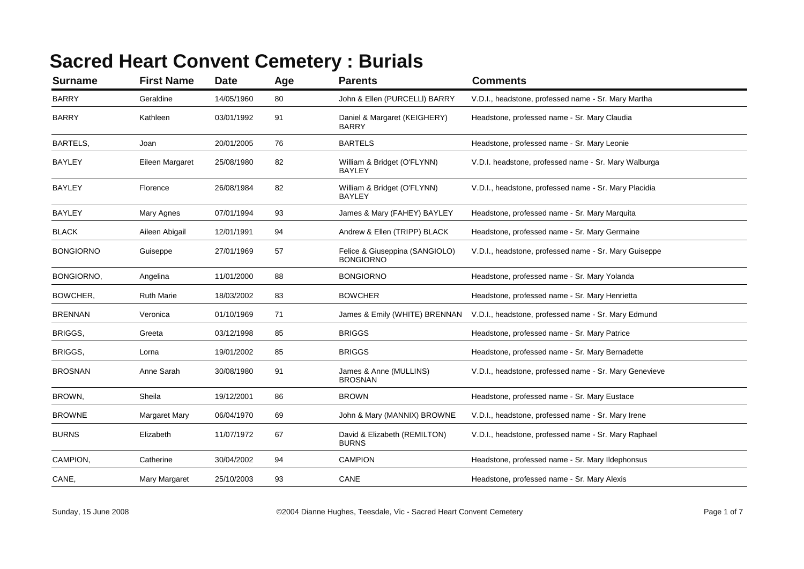## **Sacred Heart Convent Cemetery : Burials**

| <b>Surname</b>   | <b>First Name</b>    | <b>Date</b> | Age | <b>Parents</b>                                     | <b>Comments</b>                                        |
|------------------|----------------------|-------------|-----|----------------------------------------------------|--------------------------------------------------------|
| <b>BARRY</b>     | Geraldine            | 14/05/1960  | 80  | John & Ellen (PURCELLI) BARRY                      | V.D.I., headstone, professed name - Sr. Mary Martha    |
| <b>BARRY</b>     | Kathleen             | 03/01/1992  | 91  | Daniel & Margaret (KEIGHERY)<br><b>BARRY</b>       | Headstone, professed name - Sr. Mary Claudia           |
| BARTELS,         | Joan                 | 20/01/2005  | 76  | <b>BARTELS</b>                                     | Headstone, professed name - Sr. Mary Leonie            |
| <b>BAYLEY</b>    | Eileen Margaret      | 25/08/1980  | 82  | William & Bridget (O'FLYNN)<br><b>BAYLEY</b>       | V.D.I. headstone, professed name - Sr. Mary Walburga   |
| <b>BAYLEY</b>    | Florence             | 26/08/1984  | 82  | William & Bridget (O'FLYNN)<br><b>BAYLEY</b>       | V.D.I., headstone, professed name - Sr. Mary Placidia  |
| <b>BAYLEY</b>    | Mary Agnes           | 07/01/1994  | 93  | James & Mary (FAHEY) BAYLEY                        | Headstone, professed name - Sr. Mary Marquita          |
| <b>BLACK</b>     | Aileen Abigail       | 12/01/1991  | 94  | Andrew & Ellen (TRIPP) BLACK                       | Headstone, professed name - Sr. Mary Germaine          |
| <b>BONGIORNO</b> | Guiseppe             | 27/01/1969  | 57  | Felice & Giuseppina (SANGIOLO)<br><b>BONGIORNO</b> | V.D.I., headstone, professed name - Sr. Mary Guiseppe  |
| BONGIORNO,       | Angelina             | 11/01/2000  | 88  | <b>BONGIORNO</b>                                   | Headstone, professed name - Sr. Mary Yolanda           |
| BOWCHER,         | <b>Ruth Marie</b>    | 18/03/2002  | 83  | <b>BOWCHER</b>                                     | Headstone, professed name - Sr. Mary Henrietta         |
| <b>BRENNAN</b>   | Veronica             | 01/10/1969  | 71  | James & Emily (WHITE) BRENNAN                      | V.D.I., headstone, professed name - Sr. Mary Edmund    |
| BRIGGS,          | Greeta               | 03/12/1998  | 85  | <b>BRIGGS</b>                                      | Headstone, professed name - Sr. Mary Patrice           |
| BRIGGS,          | Lorna                | 19/01/2002  | 85  | <b>BRIGGS</b>                                      | Headstone, professed name - Sr. Mary Bernadette        |
| <b>BROSNAN</b>   | Anne Sarah           | 30/08/1980  | 91  | James & Anne (MULLINS)<br><b>BROSNAN</b>           | V.D.I., headstone, professed name - Sr. Mary Genevieve |
| BROWN,           | Sheila               | 19/12/2001  | 86  | <b>BROWN</b>                                       | Headstone, professed name - Sr. Mary Eustace           |
| <b>BROWNE</b>    | <b>Margaret Mary</b> | 06/04/1970  | 69  | John & Mary (MANNIX) BROWNE                        | V.D.I., headstone, professed name - Sr. Mary Irene     |
| <b>BURNS</b>     | Elizabeth            | 11/07/1972  | 67  | David & Elizabeth (REMILTON)<br><b>BURNS</b>       | V.D.I., headstone, professed name - Sr. Mary Raphael   |
| CAMPION,         | Catherine            | 30/04/2002  | 94  | <b>CAMPION</b>                                     | Headstone, professed name - Sr. Mary Ildephonsus       |
| CANE,            | Mary Margaret        | 25/10/2003  | 93  | CANE                                               | Headstone, professed name - Sr. Mary Alexis            |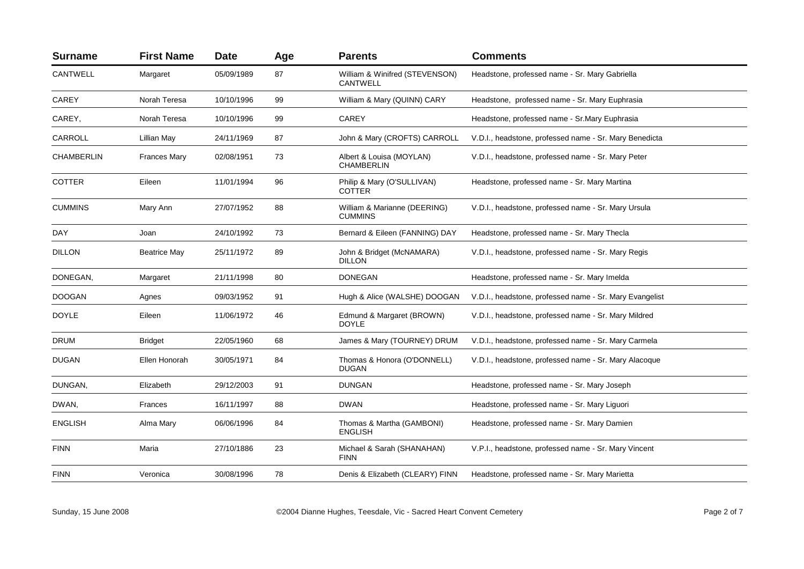| <b>Surname</b> | <b>First Name</b>   | <b>Date</b> | Age | <b>Parents</b>                                 | <b>Comments</b>                                         |
|----------------|---------------------|-------------|-----|------------------------------------------------|---------------------------------------------------------|
| CANTWELL       | Margaret            | 05/09/1989  | 87  | William & Winifred (STEVENSON)<br>CANTWELL     | Headstone, professed name - Sr. Mary Gabriella          |
| CAREY          | Norah Teresa        | 10/10/1996  | 99  | William & Mary (QUINN) CARY                    | Headstone, professed name - Sr. Mary Euphrasia          |
| CAREY,         | Norah Teresa        | 10/10/1996  | 99  | CAREY                                          | Headstone, professed name - Sr. Mary Euphrasia          |
| CARROLL        | Lillian May         | 24/11/1969  | 87  | John & Mary (CROFTS) CARROLL                   | V.D.I., headstone, professed name - Sr. Mary Benedicta  |
| CHAMBERLIN     | <b>Frances Mary</b> | 02/08/1951  | 73  | Albert & Louisa (MOYLAN)<br><b>CHAMBERLIN</b>  | V.D.I., headstone, professed name - Sr. Mary Peter      |
| <b>COTTER</b>  | Eileen              | 11/01/1994  | 96  | Philip & Mary (O'SULLIVAN)<br><b>COTTER</b>    | Headstone, professed name - Sr. Mary Martina            |
| <b>CUMMINS</b> | Mary Ann            | 27/07/1952  | 88  | William & Marianne (DEERING)<br><b>CUMMINS</b> | V.D.I., headstone, professed name - Sr. Mary Ursula     |
| DAY            | Joan                | 24/10/1992  | 73  | Bernard & Eileen (FANNING) DAY                 | Headstone, professed name - Sr. Mary Thecla             |
| <b>DILLON</b>  | <b>Beatrice May</b> | 25/11/1972  | 89  | John & Bridget (McNAMARA)<br><b>DILLON</b>     | V.D.I., headstone, professed name - Sr. Mary Regis      |
| DONEGAN,       | Margaret            | 21/11/1998  | 80  | <b>DONEGAN</b>                                 | Headstone, professed name - Sr. Mary Imelda             |
| <b>DOOGAN</b>  | Agnes               | 09/03/1952  | 91  | Hugh & Alice (WALSHE) DOOGAN                   | V.D.I., headstone, professed name - Sr. Mary Evangelist |
| <b>DOYLE</b>   | Eileen              | 11/06/1972  | 46  | Edmund & Margaret (BROWN)<br><b>DOYLE</b>      | V.D.I., headstone, professed name - Sr. Mary Mildred    |
| <b>DRUM</b>    | <b>Bridget</b>      | 22/05/1960  | 68  | James & Mary (TOURNEY) DRUM                    | V.D.I., headstone, professed name - Sr. Mary Carmela    |
| <b>DUGAN</b>   | Ellen Honorah       | 30/05/1971  | 84  | Thomas & Honora (O'DONNELL)<br><b>DUGAN</b>    | V.D.I., headstone, professed name - Sr. Mary Alacoque   |
| DUNGAN,        | Elizabeth           | 29/12/2003  | 91  | <b>DUNGAN</b>                                  | Headstone, professed name - Sr. Mary Joseph             |
| DWAN,          | Frances             | 16/11/1997  | 88  | <b>DWAN</b>                                    | Headstone, professed name - Sr. Mary Liguori            |
| <b>ENGLISH</b> | Alma Mary           | 06/06/1996  | 84  | Thomas & Martha (GAMBONI)<br><b>ENGLISH</b>    | Headstone, professed name - Sr. Mary Damien             |
| <b>FINN</b>    | Maria               | 27/10/1886  | 23  | Michael & Sarah (SHANAHAN)<br><b>FINN</b>      | V.P.I., headstone, professed name - Sr. Mary Vincent    |
| <b>FINN</b>    | Veronica            | 30/08/1996  | 78  | Denis & Elizabeth (CLEARY) FINN                | Headstone, professed name - Sr. Mary Marietta           |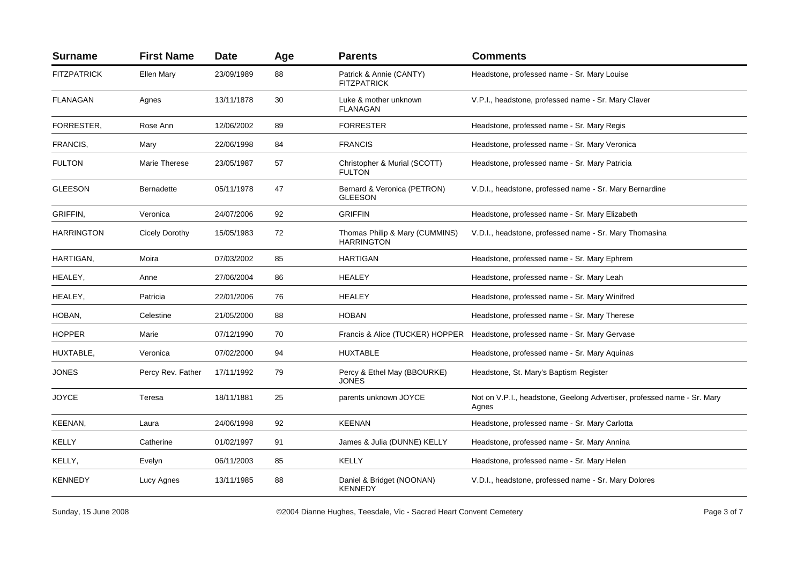| <b>Surname</b>     | <b>First Name</b> | <b>Date</b> | Age | <b>Parents</b>                                      | <b>Comments</b>                                                                  |
|--------------------|-------------------|-------------|-----|-----------------------------------------------------|----------------------------------------------------------------------------------|
| <b>FITZPATRICK</b> | Ellen Mary        | 23/09/1989  | 88  | Patrick & Annie (CANTY)<br><b>FITZPATRICK</b>       | Headstone, professed name - Sr. Mary Louise                                      |
| <b>FLANAGAN</b>    | Agnes             | 13/11/1878  | 30  | Luke & mother unknown<br><b>FLANAGAN</b>            | V.P.I., headstone, professed name - Sr. Mary Claver                              |
| FORRESTER.         | Rose Ann          | 12/06/2002  | 89  | <b>FORRESTER</b>                                    | Headstone, professed name - Sr. Mary Regis                                       |
| FRANCIS,           | Mary              | 22/06/1998  | 84  | <b>FRANCIS</b>                                      | Headstone, professed name - Sr. Mary Veronica                                    |
| <b>FULTON</b>      | Marie Therese     | 23/05/1987  | 57  | Christopher & Murial (SCOTT)<br><b>FULTON</b>       | Headstone, professed name - Sr. Mary Patricia                                    |
| <b>GLEESON</b>     | <b>Bernadette</b> | 05/11/1978  | 47  | Bernard & Veronica (PETRON)<br><b>GLEESON</b>       | V.D.I., headstone, professed name - Sr. Mary Bernardine                          |
| GRIFFIN.           | Veronica          | 24/07/2006  | 92  | <b>GRIFFIN</b>                                      | Headstone, professed name - Sr. Mary Elizabeth                                   |
| <b>HARRINGTON</b>  | Cicely Dorothy    | 15/05/1983  | 72  | Thomas Philip & Mary (CUMMINS)<br><b>HARRINGTON</b> | V.D.I., headstone, professed name - Sr. Mary Thomasina                           |
| HARTIGAN,          | Moira             | 07/03/2002  | 85  | <b>HARTIGAN</b>                                     | Headstone, professed name - Sr. Mary Ephrem                                      |
| HEALEY,            | Anne              | 27/06/2004  | 86  | <b>HEALEY</b>                                       | Headstone, professed name - Sr. Mary Leah                                        |
| HEALEY,            | Patricia          | 22/01/2006  | 76  | <b>HEALEY</b>                                       | Headstone, professed name - Sr. Mary Winifred                                    |
| HOBAN,             | Celestine         | 21/05/2000  | 88  | <b>HOBAN</b>                                        | Headstone, professed name - Sr. Mary Therese                                     |
| <b>HOPPER</b>      | Marie             | 07/12/1990  | 70  |                                                     | Francis & Alice (TUCKER) HOPPER Headstone, professed name - Sr. Mary Gervase     |
| HUXTABLE,          | Veronica          | 07/02/2000  | 94  | <b>HUXTABLE</b>                                     | Headstone, professed name - Sr. Mary Aquinas                                     |
| <b>JONES</b>       | Percy Rev. Father | 17/11/1992  | 79  | Percy & Ethel May (BBOURKE)<br><b>JONES</b>         | Headstone, St. Mary's Baptism Register                                           |
| <b>JOYCE</b>       | Teresa            | 18/11/1881  | 25  | parents unknown JOYCE                               | Not on V.P.I., headstone, Geelong Advertiser, professed name - Sr. Mary<br>Agnes |
| KEENAN,            | Laura             | 24/06/1998  | 92  | <b>KEENAN</b>                                       | Headstone, professed name - Sr. Mary Carlotta                                    |
| KELLY              | Catherine         | 01/02/1997  | 91  | James & Julia (DUNNE) KELLY                         | Headstone, professed name - Sr. Mary Annina                                      |
| KELLY,             | Evelyn            | 06/11/2003  | 85  | KELLY                                               | Headstone, professed name - Sr. Mary Helen                                       |
| <b>KENNEDY</b>     | Lucy Agnes        | 13/11/1985  | 88  | Daniel & Bridget (NOONAN)<br><b>KENNEDY</b>         | V.D.I., headstone, professed name - Sr. Mary Dolores                             |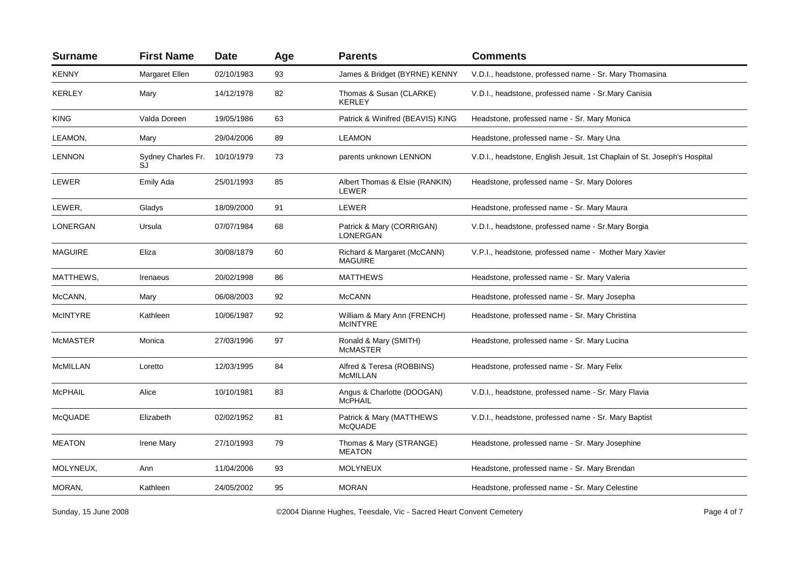| <b>Surname</b>  | <b>First Name</b>         | <b>Date</b> | Age | <b>Parents</b>                                | <b>Comments</b>                                                          |
|-----------------|---------------------------|-------------|-----|-----------------------------------------------|--------------------------------------------------------------------------|
| <b>KENNY</b>    | Margaret Ellen            | 02/10/1983  | 93  | James & Bridget (BYRNE) KENNY                 | V.D.I., headstone, professed name - Sr. Mary Thomasina                   |
| <b>KERLEY</b>   | Mary                      | 14/12/1978  | 82  | Thomas & Susan (CLARKE)<br><b>KERLEY</b>      | V.D.I., headstone, professed name - Sr.Mary Canisia                      |
| <b>KING</b>     | Valda Doreen              | 19/05/1986  | 63  | Patrick & Winifred (BEAVIS) KING              | Headstone, professed name - Sr. Mary Monica                              |
| LEAMON,         | Mary                      | 29/04/2006  | 89  | <b>LEAMON</b>                                 | Headstone, professed name - Sr. Mary Una                                 |
| <b>LENNON</b>   | Sydney Charles Fr.<br>SJ. | 10/10/1979  | 73  | parents unknown LENNON                        | V.D.I., headstone, English Jesuit, 1st Chaplain of St. Joseph's Hospital |
| LEWER           | Emily Ada                 | 25/01/1993  | 85  | Albert Thomas & Elsie (RANKIN)<br>LEWER       | Headstone, professed name - Sr. Mary Dolores                             |
| LEWER,          | Gladys                    | 18/09/2000  | 91  | LEWER                                         | Headstone, professed name - Sr. Mary Maura                               |
| <b>LONERGAN</b> | Ursula                    | 07/07/1984  | 68  | Patrick & Mary (CORRIGAN)<br><b>LONERGAN</b>  | V.D.I., headstone, professed name - Sr.Mary Borgia                       |
| <b>MAGUIRE</b>  | Eliza                     | 30/08/1879  | 60  | Richard & Margaret (McCANN)<br><b>MAGUIRE</b> | V.P.I., headstone, professed name - Mother Mary Xavier                   |
| MATTHEWS,       | Irenaeus                  | 20/02/1998  | 86  | <b>MATTHEWS</b>                               | Headstone, professed name - Sr. Mary Valeria                             |
| McCANN,         | Mary                      | 06/08/2003  | 92  | <b>McCANN</b>                                 | Headstone, professed name - Sr. Mary Josepha                             |
| <b>McINTYRE</b> | Kathleen                  | 10/06/1987  | 92  | William & Mary Ann (FRENCH)<br>McINTYRE       | Headstone, professed name - Sr. Mary Christina                           |
| <b>McMASTER</b> | Monica                    | 27/03/1996  | 97  | Ronald & Mary (SMITH)<br><b>McMASTER</b>      | Headstone, professed name - Sr. Mary Lucina                              |
| <b>McMILLAN</b> | Loretto                   | 12/03/1995  | 84  | Alfred & Teresa (ROBBINS)<br><b>McMILLAN</b>  | Headstone, professed name - Sr. Mary Felix                               |
| <b>McPHAIL</b>  | Alice                     | 10/10/1981  | 83  | Angus & Charlotte (DOOGAN)<br><b>McPHAIL</b>  | V.D.I., headstone, professed name - Sr. Mary Flavia                      |
| <b>McQUADE</b>  | Elizabeth                 | 02/02/1952  | 81  | Patrick & Mary (MATTHEWS<br><b>McQUADE</b>    | V.D.I., headstone, professed name - Sr. Mary Baptist                     |
| <b>MEATON</b>   | Irene Mary                | 27/10/1993  | 79  | Thomas & Mary (STRANGE)<br><b>MEATON</b>      | Headstone, professed name - Sr. Mary Josephine                           |
| MOLYNEUX,       | Ann                       | 11/04/2006  | 93  | <b>MOLYNEUX</b>                               | Headstone, professed name - Sr. Mary Brendan                             |
| MORAN,          | Kathleen                  | 24/05/2002  | 95  | <b>MORAN</b>                                  | Headstone, professed name - Sr. Mary Celestine                           |
|                 |                           |             |     |                                               |                                                                          |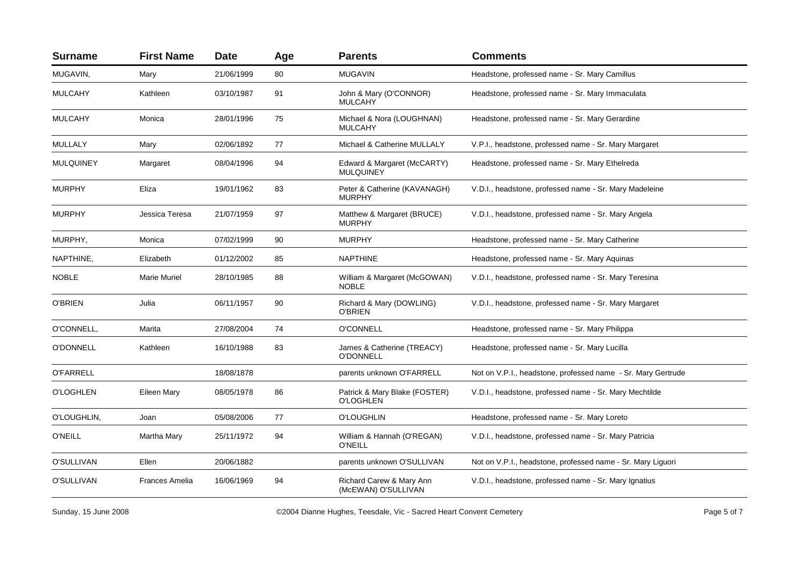| <b>Surname</b>   | <b>First Name</b>     | <b>Date</b> | Age | <b>Parents</b>                                    | <b>Comments</b>                                              |
|------------------|-----------------------|-------------|-----|---------------------------------------------------|--------------------------------------------------------------|
| MUGAVIN,         | Mary                  | 21/06/1999  | 80  | <b>MUGAVIN</b>                                    | Headstone, professed name - Sr. Mary Camillus                |
| <b>MULCAHY</b>   | Kathleen              | 03/10/1987  | 91  | John & Mary (O'CONNOR)<br><b>MULCAHY</b>          | Headstone, professed name - Sr. Mary Immaculata              |
| <b>MULCAHY</b>   | Monica                | 28/01/1996  | 75  | Michael & Nora (LOUGHNAN)<br><b>MULCAHY</b>       | Headstone, professed name - Sr. Mary Gerardine               |
| MULLALY          | Mary                  | 02/06/1892  | 77  | Michael & Catherine MULLALY                       | V.P.I., headstone, professed name - Sr. Mary Margaret        |
| <b>MULQUINEY</b> | Margaret              | 08/04/1996  | 94  | Edward & Margaret (McCARTY)<br><b>MULQUINEY</b>   | Headstone, professed name - Sr. Mary Ethelreda               |
| <b>MURPHY</b>    | Eliza                 | 19/01/1962  | 83  | Peter & Catherine (KAVANAGH)<br><b>MURPHY</b>     | V.D.I., headstone, professed name - Sr. Mary Madeleine       |
| <b>MURPHY</b>    | Jessica Teresa        | 21/07/1959  | 97  | Matthew & Margaret (BRUCE)<br><b>MURPHY</b>       | V.D.I., headstone, professed name - Sr. Mary Angela          |
| MURPHY,          | Monica                | 07/02/1999  | 90  | <b>MURPHY</b>                                     | Headstone, professed name - Sr. Mary Catherine               |
| NAPTHINE,        | Elizabeth             | 01/12/2002  | 85  | <b>NAPTHINE</b>                                   | Headstone, professed name - Sr. Mary Aquinas                 |
| <b>NOBLE</b>     | <b>Marie Muriel</b>   | 28/10/1985  | 88  | William & Margaret (McGOWAN)<br><b>NOBLE</b>      | V.D.I., headstone, professed name - Sr. Mary Teresina        |
| <b>O'BRIEN</b>   | Julia                 | 06/11/1957  | 90  | Richard & Mary (DOWLING)<br><b>O'BRIEN</b>        | V.D.I., headstone, professed name - Sr. Mary Margaret        |
| O'CONNELL,       | Marita                | 27/08/2004  | 74  | <b>O'CONNELL</b>                                  | Headstone, professed name - Sr. Mary Philippa                |
| <b>O'DONNELL</b> | Kathleen              | 16/10/1988  | 83  | James & Catherine (TREACY)<br>O'DONNELL           | Headstone, professed name - Sr. Mary Lucilla                 |
| <b>O'FARRELL</b> |                       | 18/08/1878  |     | parents unknown O'FARRELL                         | Not on V.P.I., headstone, professed name - Sr. Mary Gertrude |
| <b>O'LOGHLEN</b> | Eileen Mary           | 08/05/1978  | 86  | Patrick & Mary Blake (FOSTER)<br><b>O'LOGHLEN</b> | V.D.I., headstone, professed name - Sr. Mary Mechtilde       |
| O'LOUGHLIN,      | Joan                  | 05/08/2006  | 77  | <b>O'LOUGHLIN</b>                                 | Headstone, professed name - Sr. Mary Loreto                  |
| <b>O'NEILL</b>   | Martha Mary           | 25/11/1972  | 94  | William & Hannah (O'REGAN)<br><b>O'NEILL</b>      | V.D.I., headstone, professed name - Sr. Mary Patricia        |
| O'SULLIVAN       | Ellen                 | 20/06/1882  |     | parents unknown O'SULLIVAN                        | Not on V.P.I., headstone, professed name - Sr. Mary Liguori  |
| O'SULLIVAN       | <b>Frances Amelia</b> | 16/06/1969  | 94  | Richard Carew & Mary Ann<br>(McEWAN) O'SULLIVAN   | V.D.I., headstone, professed name - Sr. Mary Ignatius        |

Sunday, 15 June 2008 **Extraca Convent Centers** C2004 Dianne Hughes, Teesdale, Vic - Sacred Heart Convent Cemetery **Page 5 of 7** Page 5 of 7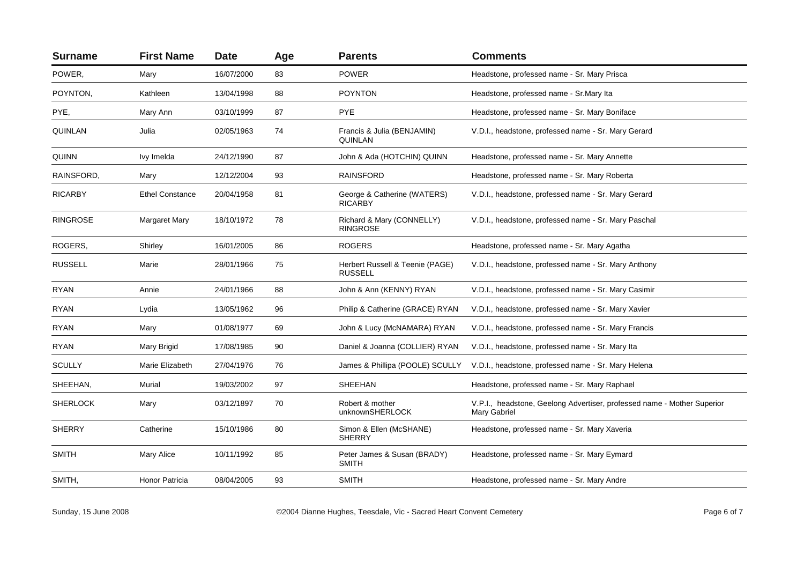| <b>Surname</b>  | <b>First Name</b>      | <b>Date</b> | Age | <b>Parents</b>                                    | <b>Comments</b>                                                                         |
|-----------------|------------------------|-------------|-----|---------------------------------------------------|-----------------------------------------------------------------------------------------|
| POWER,          | Mary                   | 16/07/2000  | 83  | <b>POWER</b>                                      | Headstone, professed name - Sr. Mary Prisca                                             |
| POYNTON,        | Kathleen               | 13/04/1998  | 88  | <b>POYNTON</b>                                    | Headstone, professed name - Sr. Mary Ita                                                |
| PYE,            | Mary Ann               | 03/10/1999  | 87  | <b>PYE</b>                                        | Headstone, professed name - Sr. Mary Boniface                                           |
| QUINLAN         | Julia                  | 02/05/1963  | 74  | Francis & Julia (BENJAMIN)<br><b>QUINLAN</b>      | V.D.I., headstone, professed name - Sr. Mary Gerard                                     |
| <b>QUINN</b>    | Ivy Imelda             | 24/12/1990  | 87  | John & Ada (HOTCHIN) QUINN                        | Headstone, professed name - Sr. Mary Annette                                            |
| RAINSFORD,      | Mary                   | 12/12/2004  | 93  | <b>RAINSFORD</b>                                  | Headstone, professed name - Sr. Mary Roberta                                            |
| <b>RICARBY</b>  | <b>Ethel Constance</b> | 20/04/1958  | 81  | George & Catherine (WATERS)<br><b>RICARBY</b>     | V.D.I., headstone, professed name - Sr. Mary Gerard                                     |
| <b>RINGROSE</b> | <b>Margaret Mary</b>   | 18/10/1972  | 78  | Richard & Mary (CONNELLY)<br><b>RINGROSE</b>      | V.D.I., headstone, professed name - Sr. Mary Paschal                                    |
| ROGERS,         | Shirley                | 16/01/2005  | 86  | <b>ROGERS</b>                                     | Headstone, professed name - Sr. Mary Agatha                                             |
| <b>RUSSELL</b>  | Marie                  | 28/01/1966  | 75  | Herbert Russell & Teenie (PAGE)<br><b>RUSSELL</b> | V.D.I., headstone, professed name - Sr. Mary Anthony                                    |
| <b>RYAN</b>     | Annie                  | 24/01/1966  | 88  | John & Ann (KENNY) RYAN                           | V.D.I., headstone, professed name - Sr. Mary Casimir                                    |
| RYAN            | Lydia                  | 13/05/1962  | 96  | Philip & Catherine (GRACE) RYAN                   | V.D.I., headstone, professed name - Sr. Mary Xavier                                     |
| <b>RYAN</b>     | Mary                   | 01/08/1977  | 69  | John & Lucy (McNAMARA) RYAN                       | V.D.I., headstone, professed name - Sr. Mary Francis                                    |
| <b>RYAN</b>     | Mary Brigid            | 17/08/1985  | 90  | Daniel & Joanna (COLLIER) RYAN                    | V.D.I., headstone, professed name - Sr. Mary Ita                                        |
| <b>SCULLY</b>   | Marie Elizabeth        | 27/04/1976  | 76  | James & Phillipa (POOLE) SCULLY                   | V.D.I., headstone, professed name - Sr. Mary Helena                                     |
| SHEEHAN,        | Murial                 | 19/03/2002  | 97  | <b>SHEEHAN</b>                                    | Headstone, professed name - Sr. Mary Raphael                                            |
| <b>SHERLOCK</b> | Mary                   | 03/12/1897  | 70  | Robert & mother<br>unknownSHERLOCK                | V.P.I., headstone, Geelong Advertiser, professed name - Mother Superior<br>Mary Gabriel |
| <b>SHERRY</b>   | Catherine              | 15/10/1986  | 80  | Simon & Ellen (McSHANE)<br><b>SHERRY</b>          | Headstone, professed name - Sr. Mary Xaveria                                            |
| <b>SMITH</b>    | Mary Alice             | 10/11/1992  | 85  | Peter James & Susan (BRADY)<br><b>SMITH</b>       | Headstone, professed name - Sr. Mary Eymard                                             |
| SMITH,          | Honor Patricia         | 08/04/2005  | 93  | <b>SMITH</b>                                      | Headstone, professed name - Sr. Mary Andre                                              |